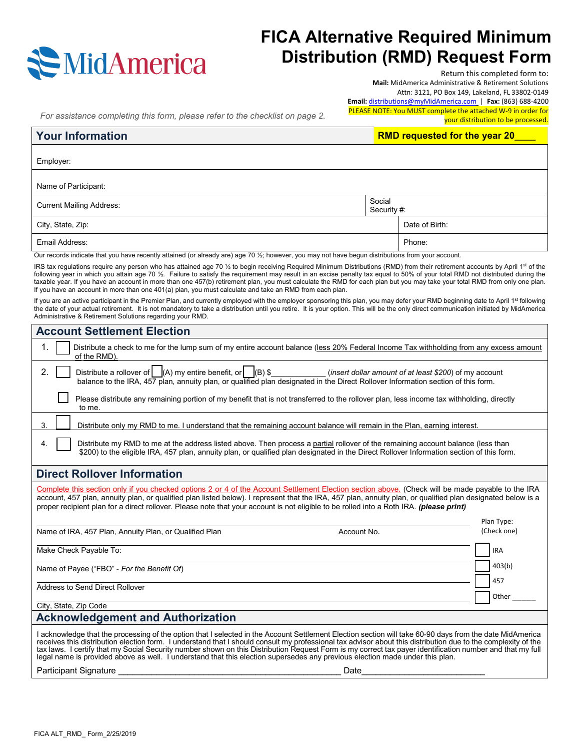

# **FICA Alternative Required Minimum Distribution (RMD) Request Form**

Return this completed form to:

**Mail:** MidAmerica Administrative & Retirement Solutions

Attn: 3121, PO Box 149, Lakeland, FL 33802-0149

**Email:** [distributions@myMidAmerica.com](mailto:distributions@myMidAmerica.com) | **Fax:** (863) 688-4200 PLEASE NOTE: You MUST complete the attached W-9 in order for

*For assistance completing this form, please refer to the checklist on page 2.*

your distribution to be processed.

| <b>Your Information</b>         | <b>RMD requested for the year 20</b> |                |
|---------------------------------|--------------------------------------|----------------|
| Employer:                       |                                      |                |
| Name of Participant:            |                                      |                |
| <b>Current Mailing Address:</b> | Social<br>Security #:                |                |
| City, State, Zip:               |                                      | Date of Birth: |

Email Address: Phone: Phone: Phone: Phone: Phone: Phone: Phone: Phone: Phone: Phone: Phone: Phone: Phone: Phone: Phone: Phone: Phone: Phone: Phone: Phone: Phone: Phone: Phone: Phone: Phone: Phone: Phone: Phone: Phone: Phon

Our records indicate that you have recently attained (or already are) age 70 1/2; however, you may not have begun distributions from your account.

IRS tax regulations require any person who has attained age 70 1/2 to begin receiving Required Minimum Distributions (RMD) from their retirement accounts by April 1st of the following year in which you attain age 70 1/2. Failure to satisfy the requirement may result in an excise penalty tax equal to 50% of your total RMD not distributed during the taxable year. If you have an account in more than one 457(b) retirement plan, you must calculate the RMD for each plan but you may take your total RMD from only one plan. If you have an account in more than one 401(a) plan, you must calculate and take an RMD from each plan.

If you are an active participant in the Premier Plan, and currently employed with the employer sponsoring this plan, you may defer your RMD beginning date to April 1st following the date of your actual retirement. It is not mandatory to take a distribution until you retire. It is your option. This will be the only direct communication initiated by MidAmerica Administrative & Retirement Solutions regarding your RMD.

| <b>Account Settlement Election</b>                                                                                                                                                                                                                                                                                                                                                                                                                                                                                                                                                                                     |  |  |
|------------------------------------------------------------------------------------------------------------------------------------------------------------------------------------------------------------------------------------------------------------------------------------------------------------------------------------------------------------------------------------------------------------------------------------------------------------------------------------------------------------------------------------------------------------------------------------------------------------------------|--|--|
| 1.<br>Distribute a check to me for the lump sum of my entire account balance (less 20% Federal Income Tax withholding from any excess amount<br>of the RMD).                                                                                                                                                                                                                                                                                                                                                                                                                                                           |  |  |
| Distribute a rollover of $\Box(A)$ my entire benefit, or $\Box(B)$ \$<br>Conserved the sert dollar amount of at least \$200) of my account<br>2.<br>balance to the IRA, 457 plan, annuity plan, or qualified plan designated in the Direct Rollover Information section of this form.                                                                                                                                                                                                                                                                                                                                  |  |  |
| Please distribute any remaining portion of my benefit that is not transferred to the rollover plan, less income tax withholding, directly<br>to me.                                                                                                                                                                                                                                                                                                                                                                                                                                                                    |  |  |
| 3.<br>Distribute only my RMD to me. I understand that the remaining account balance will remain in the Plan, earning interest.                                                                                                                                                                                                                                                                                                                                                                                                                                                                                         |  |  |
| Distribute my RMD to me at the address listed above. Then process a partial rollover of the remaining account balance (less than<br>4.<br>\$200) to the eligible IRA, 457 plan, annuity plan, or qualified plan designated in the Direct Rollover Information section of this form.                                                                                                                                                                                                                                                                                                                                    |  |  |
| <b>Direct Rollover Information</b>                                                                                                                                                                                                                                                                                                                                                                                                                                                                                                                                                                                     |  |  |
| Complete this section only if you checked options 2 or 4 of the Account Settlement Election section above. (Check will be made payable to the IRA<br>account, 457 plan, annuity plan, or qualified plan listed below). I represent that the IRA, 457 plan, annuity plan, or qualified plan designated below is a<br>proper recipient plan for a direct rollover. Please note that your account is not eligible to be rolled into a Roth IRA. (please print)<br>Plan Type:                                                                                                                                              |  |  |
| (Check one)<br>Name of IRA, 457 Plan, Annuity Plan, or Qualified Plan<br>Account No.                                                                                                                                                                                                                                                                                                                                                                                                                                                                                                                                   |  |  |
| Make Check Payable To:<br><b>IRA</b>                                                                                                                                                                                                                                                                                                                                                                                                                                                                                                                                                                                   |  |  |
| 403(b)<br>Name of Payee ("FBO" - For the Benefit Of)                                                                                                                                                                                                                                                                                                                                                                                                                                                                                                                                                                   |  |  |
| 457<br>Address to Send Direct Rollover<br>Other                                                                                                                                                                                                                                                                                                                                                                                                                                                                                                                                                                        |  |  |
| City, State, Zip Code                                                                                                                                                                                                                                                                                                                                                                                                                                                                                                                                                                                                  |  |  |
| <b>Acknowledgement and Authorization</b>                                                                                                                                                                                                                                                                                                                                                                                                                                                                                                                                                                               |  |  |
| I acknowledge that the processing of the option that I selected in the Account Settlement Election section will take 60-90 days from the date MidAmerica<br>receives this distribution election form. I understand that I should consult my professional tax advisor about this distribution due to the complexity of the<br>tax laws. I certify that my Social Security number shown on this Distribution Request Form is my correct tax payer identification number and that my full<br>legal name is provided above as well. I understand that this election supersedes any previous election made under this plan. |  |  |
| <b>Participant Signature</b><br>Date                                                                                                                                                                                                                                                                                                                                                                                                                                                                                                                                                                                   |  |  |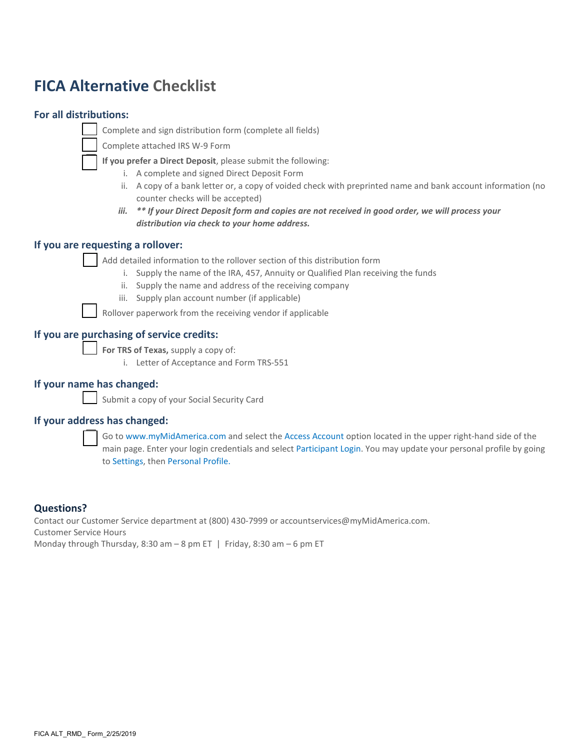# **FICA Alternative Checklist**

# **For all distributions:**

Complete and sign distribution form (complete all fields)

Complete attached IRS W-9 Form

**If you prefer a Direct Deposit**, please submit the following:

- i. A complete and signed Direct Deposit Form
- ii. A copy of a bank letter or, a copy of voided check with preprinted name and bank account information (no counter checks will be accepted)
- *iii. \*\* If your Direct Deposit form and copies are not received in good order, we will process your distribution via check to your home address.*

# **If you are requesting a rollover:**

Add detailed information to the rollover section of this distribution form

- i. Supply the name of the IRA, 457, Annuity or Qualified Plan receiving the funds
- ii. Supply the name and address of the receiving company
- iii. Supply plan account number (if applicable)

Rollover paperwork from the receiving vendor if applicable

# **If you are purchasing of service credits:**

**For TRS of Texas,** supply a copy of:

i. Letter of Acceptance and Form TRS-551

# **If your name has changed:**

Submit a copy of your Social Security Card

# **If your address has changed:**



 Go to www.myMidAmerica.com and select the Access Account option located in the upper right-hand side of the main page. Enter your login credentials and select Participant Login. You may update your personal profile by going to Settings, then Personal Profile.

# **Questions?**

Contact our Customer Service department at (800) 430-7999 or accountservices@myMidAmerica.com. Customer Service Hours Monday through Thursday, 8:30 am  $-$  8 pm ET | Friday, 8:30 am  $-$  6 pm ET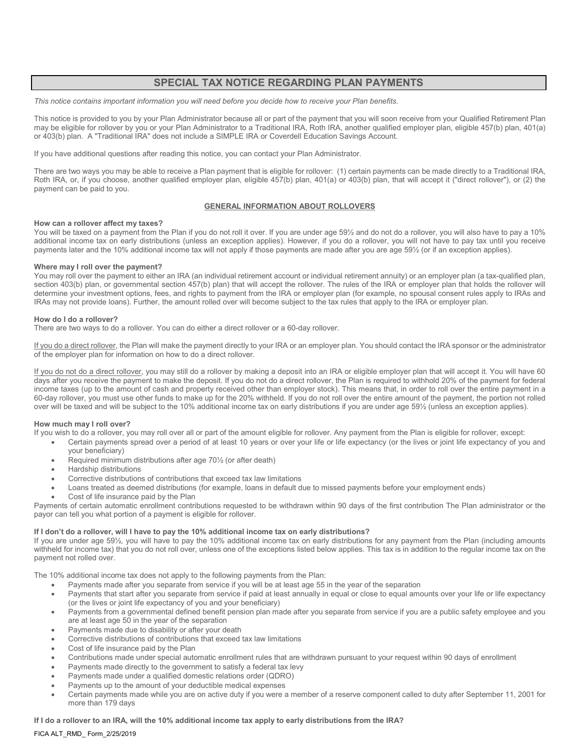# **SPECIAL TAX NOTICE REGARDING PLAN PAYMENTS**

*This notice contains important information you will need before you decide how to receive your Plan benefits.*

This notice is provided to you by your Plan Administrator because all or part of the payment that you will soon receive from your Qualified Retirement Plan may be eligible for rollover by you or your Plan Administrator to a Traditional IRA, Roth IRA, another qualified employer plan, eligible 457(b) plan, 401(a) or 403(b) plan. A "Traditional IRA" does not include a SIMPLE IRA or Coverdell Education Savings Account.

If you have additional questions after reading this notice, you can contact your Plan Administrator.

There are two ways you may be able to receive a Plan payment that is eligible for rollover: (1) certain payments can be made directly to a Traditional IRA, Roth IRA, or, if you choose, another qualified employer plan, eligible 457(b) plan, 401(a) or 403(b) plan, that will accept it ("direct rollover"), or (2) the payment can be paid to you.

### **GENERAL INFORMATION ABOUT ROLLOVERS**

## **How can a rollover affect my taxes?**

You will be taxed on a payment from the Plan if you do not roll it over. If you are under age 59½ and do not do a rollover, you will also have to pay a 10% additional income tax on early distributions (unless an exception applies). However, if you do a rollover, you will not have to pay tax until you receive payments later and the 10% additional income tax will not apply if those payments are made after you are age 59½ (or if an exception applies).

### **Where may I roll over the payment?**

You may roll over the payment to either an IRA (an individual retirement account or individual retirement annuity) or an employer plan (a tax-qualified plan, section 403(b) plan, or governmental section 457(b) plan) that will accept the rollover. The rules of the IRA or employer plan that holds the rollover will determine your investment options, fees, and rights to payment from the IRA or employer plan (for example, no spousal consent rules apply to IRAs and IRAs may not provide loans). Further, the amount rolled over will become subject to the tax rules that apply to the IRA or employer plan.

### **How do I do a rollover?**

There are two ways to do a rollover. You can do either a direct rollover or a 60-day rollover.

If you do a direct rollover, the Plan will make the payment directly to your IRA or an employer plan. You should contact the IRA sponsor or the administrator of the employer plan for information on how to do a direct rollover.

If you do not do a direct rollover, you may still do a rollover by making a deposit into an IRA or eligible employer plan that will accept it. You will have 60 days after you receive the payment to make the deposit. If you do not do a direct rollover, the Plan is required to withhold 20% of the payment for federal income taxes (up to the amount of cash and property received other than employer stock). This means that, in order to roll over the entire payment in a 60-day rollover, you must use other funds to make up for the 20% withheld. If you do not roll over the entire amount of the payment, the portion not rolled over will be taxed and will be subject to the 10% additional income tax on early distributions if you are under age 59½ (unless an exception applies).

## **How much may I roll over?**

If you wish to do a rollover, you may roll over all or part of the amount eligible for rollover. Any payment from the Plan is eligible for rollover, except:

- Certain payments spread over a period of at least 10 years or over your life or life expectancy (or the lives or joint life expectancy of you and your beneficiary)
- Required minimum distributions after age 70½ (or after death)
- Hardship distributions
- Corrective distributions of contributions that exceed tax law limitations
- Loans treated as deemed distributions (for example, loans in default due to missed payments before your employment ends)
- Cost of life insurance paid by the Plan

Payments of certain automatic enrollment contributions requested to be withdrawn within 90 days of the first contribution The Plan administrator or the payor can tell you what portion of a payment is eligible for rollover.

## **If I don't do a rollover, will I have to pay the 10% additional income tax on early distributions?**

If you are under age 59½, you will have to pay the 10% additional income tax on early distributions for any payment from the Plan (including amounts withheld for income tax) that you do not roll over, unless one of the exceptions listed below applies. This tax is in addition to the regular income tax on the payment not rolled over.

The 10% additional income tax does not apply to the following payments from the Plan:

- Payments made after you separate from service if you will be at least age 55 in the year of the separation
- Payments that start after you separate from service if paid at least annually in equal or close to equal amounts over your life or life expectancy (or the lives or joint life expectancy of you and your beneficiary)
- Payments from a governmental defined benefit pension plan made after you separate from service if you are a public safety employee and you are at least age 50 in the year of the separation
- Payments made due to disability or after your death
- Corrective distributions of contributions that exceed tax law limitations
- Cost of life insurance paid by the Plan
- Contributions made under special automatic enrollment rules that are withdrawn pursuant to your request within 90 days of enrollment
- Payments made directly to the government to satisfy a federal tax levy
- Payments made under a qualified domestic relations order (QDRO)
- Payments up to the amount of your deductible medical expenses
- Certain payments made while you are on active duty if you were a member of a reserve component called to duty after September 11, 2001 for more than 179 days

## **If I do a rollover to an IRA, will the 10% additional income tax apply to early distributions from the IRA?**

### FICA ALT\_RMD\_ Form\_2/25/2019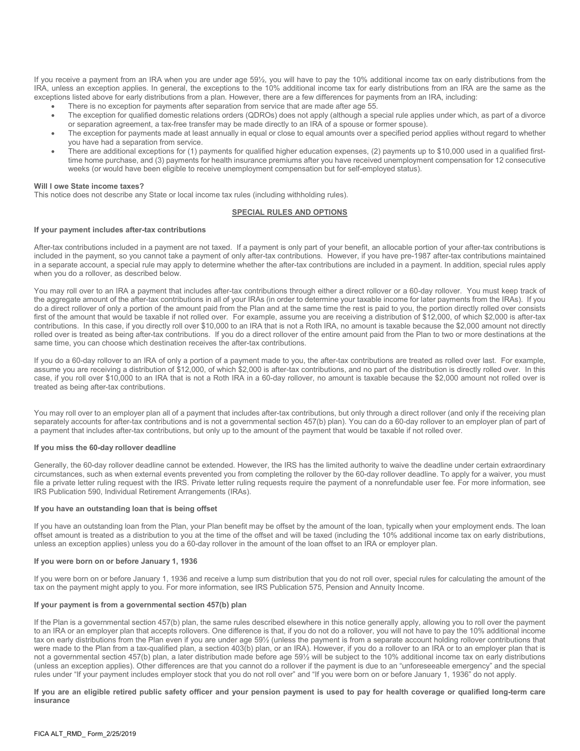If you receive a payment from an IRA when you are under age 59½, you will have to pay the 10% additional income tax on early distributions from the IRA, unless an exception applies. In general, the exceptions to the 10% additional income tax for early distributions from an IRA are the same as the exceptions listed above for early distributions from a plan. However, there are a few differences for payments from an IRA, including:

- There is no exception for payments after separation from service that are made after age 55.
- The exception for qualified domestic relations orders (QDROs) does not apply (although a special rule applies under which, as part of a divorce or separation agreement, a tax-free transfer may be made directly to an IRA of a spouse or former spouse).
- The exception for payments made at least annually in equal or close to equal amounts over a specified period applies without regard to whether you have had a separation from service.
- There are additional exceptions for (1) payments for qualified higher education expenses, (2) payments up to \$10,000 used in a qualified firsttime home purchase, and (3) payments for health insurance premiums after you have received unemployment compensation for 12 consecutive weeks (or would have been eligible to receive unemployment compensation but for self-employed status).

#### **Will I owe State income taxes?**

This notice does not describe any State or local income tax rules (including withholding rules).

### **SPECIAL RULES AND OPTIONS**

#### **If your payment includes after-tax contributions**

After-tax contributions included in a payment are not taxed. If a payment is only part of your benefit, an allocable portion of your after-tax contributions is included in the payment, so you cannot take a payment of only after-tax contributions. However, if you have pre-1987 after-tax contributions maintained in a separate account, a special rule may apply to determine whether the after-tax contributions are included in a payment. In addition, special rules apply when you do a rollover, as described below.

You may roll over to an IRA a payment that includes after-tax contributions through either a direct rollover or a 60-day rollover. You must keep track of the aggregate amount of the after-tax contributions in all of your IRAs (in order to determine your taxable income for later payments from the IRAs). If you do a direct rollover of only a portion of the amount paid from the Plan and at the same time the rest is paid to you, the portion directly rolled over consists first of the amount that would be taxable if not rolled over. For example, assume you are receiving a distribution of \$12,000, of which \$2,000 is after-tax contributions. In this case, if you directly roll over \$10,000 to an IRA that is not a Roth IRA, no amount is taxable because the \$2,000 amount not directly rolled over is treated as being after-tax contributions. If you do a direct rollover of the entire amount paid from the Plan to two or more destinations at the same time, you can choose which destination receives the after-tax contributions.

If you do a 60-day rollover to an IRA of only a portion of a payment made to you, the after-tax contributions are treated as rolled over last. For example, assume you are receiving a distribution of \$12,000, of which \$2,000 is after-tax contributions, and no part of the distribution is directly rolled over. In this case, if you roll over \$10,000 to an IRA that is not a Roth IRA in a 60-day rollover, no amount is taxable because the \$2,000 amount not rolled over is treated as being after-tax contributions.

You may roll over to an employer plan all of a payment that includes after-tax contributions, but only through a direct rollover (and only if the receiving plan separately accounts for after-tax contributions and is not a governmental section 457(b) plan). You can do a 60-day rollover to an employer plan of part of a payment that includes after-tax contributions, but only up to the amount of the payment that would be taxable if not rolled over.

#### **If you miss the 60-day rollover deadline**

Generally, the 60-day rollover deadline cannot be extended. However, the IRS has the limited authority to waive the deadline under certain extraordinary circumstances, such as when external events prevented you from completing the rollover by the 60-day rollover deadline. To apply for a waiver, you must file a private letter ruling request with the IRS. Private letter ruling requests require the payment of a nonrefundable user fee. For more information, see IRS Publication 590, Individual Retirement Arrangements (IRAs).

#### **If you have an outstanding loan that is being offset**

If you have an outstanding loan from the Plan, your Plan benefit may be offset by the amount of the loan, typically when your employment ends. The loan offset amount is treated as a distribution to you at the time of the offset and will be taxed (including the 10% additional income tax on early distributions, unless an exception applies) unless you do a 60-day rollover in the amount of the loan offset to an IRA or employer plan.

## **If you were born on or before January 1, 1936**

If you were born on or before January 1, 1936 and receive a lump sum distribution that you do not roll over, special rules for calculating the amount of the tax on the payment might apply to you. For more information, see IRS Publication 575, Pension and Annuity Income.

#### **If your payment is from a governmental section 457(b) plan**

If the Plan is a governmental section 457(b) plan, the same rules described elsewhere in this notice generally apply, allowing you to roll over the payment to an IRA or an employer plan that accepts rollovers. One difference is that, if you do not do a rollover, you will not have to pay the 10% additional income tax on early distributions from the Plan even if you are under age 59½ (unless the payment is from a separate account holding rollover contributions that were made to the Plan from a tax-qualified plan, a section 403(b) plan, or an IRA). However, if you do a rollover to an IRA or to an employer plan that is not a governmental section 457(b) plan, a later distribution made before age 59½ will be subject to the 10% additional income tax on early distributions (unless an exception applies). Other differences are that you cannot do a rollover if the payment is due to an "unforeseeable emergency" and the special rules under "If your payment includes employer stock that you do not roll over" and "If you were born on or before January 1, 1936" do not apply.

**If you are an eligible retired public safety officer and your pension payment is used to pay for health coverage or qualified long-term care insurance**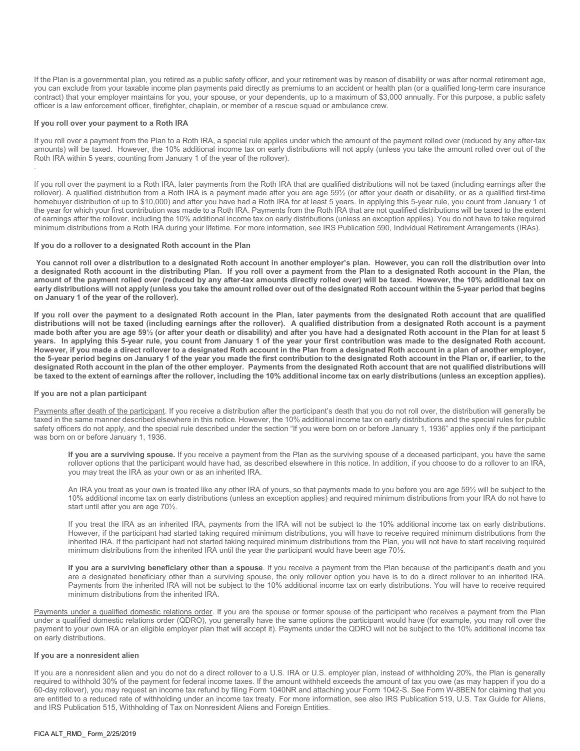If the Plan is a governmental plan, you retired as a public safety officer, and your retirement was by reason of disability or was after normal retirement age, you can exclude from your taxable income plan payments paid directly as premiums to an accident or health plan (or a qualified long-term care insurance contract) that your employer maintains for you, your spouse, or your dependents, up to a maximum of \$3,000 annually. For this purpose, a public safety officer is a law enforcement officer, firefighter, chaplain, or member of a rescue squad or ambulance crew.

#### **If you roll over your payment to a Roth IRA**

.

If you roll over a payment from the Plan to a Roth IRA, a special rule applies under which the amount of the payment rolled over (reduced by any after-tax amounts) will be taxed. However, the 10% additional income tax on early distributions will not apply (unless you take the amount rolled over out of the Roth IRA within 5 years, counting from January 1 of the year of the rollover).

If you roll over the payment to a Roth IRA, later payments from the Roth IRA that are qualified distributions will not be taxed (including earnings after the rollover). A qualified distribution from a Roth IRA is a payment made after you are age 59½ (or after your death or disability, or as a qualified first-time homebuyer distribution of up to \$10,000) and after you have had a Roth IRA for at least 5 years. In applying this 5-year rule, you count from January 1 of the year for which your first contribution was made to a Roth IRA. Payments from the Roth IRA that are not qualified distributions will be taxed to the extent of earnings after the rollover, including the 10% additional income tax on early distributions (unless an exception applies). You do not have to take required minimum distributions from a Roth IRA during your lifetime. For more information, see IRS Publication 590, Individual Retirement Arrangements (IRAs).

#### **If you do a rollover to a designated Roth account in the Plan**

**You cannot roll over a distribution to a designated Roth account in another employer's plan. However, you can roll the distribution over into a designated Roth account in the distributing Plan. If you roll over a payment from the Plan to a designated Roth account in the Plan, the amount of the payment rolled over (reduced by any after-tax amounts directly rolled over) will be taxed. However, the 10% additional tax on early distributions will not apply (unless you take the amount rolled over out of the designated Roth account within the 5-year period that begins on January 1 of the year of the rollover).** 

**If you roll over the payment to a designated Roth account in the Plan, later payments from the designated Roth account that are qualified distributions will not be taxed (including earnings after the rollover). A qualified distribution from a designated Roth account is a payment made both after you are age 59½ (or after your death or disability) and after you have had a designated Roth account in the Plan for at least 5 years. In applying this 5-year rule, you count from January 1 of the year your first contribution was made to the designated Roth account. However, if you made a direct rollover to a designated Roth account in the Plan from a designated Roth account in a plan of another employer, the 5-year period begins on January 1 of the year you made the first contribution to the designated Roth account in the Plan or, if earlier, to the designated Roth account in the plan of the other employer. Payments from the designated Roth account that are not qualified distributions will be taxed to the extent of earnings after the rollover, including the 10% additional income tax on early distributions (unless an exception applies).** 

#### **If you are not a plan participant**

Payments after death of the participant. If you receive a distribution after the participant's death that you do not roll over, the distribution will generally be taxed in the same manner described elsewhere in this notice. However, the 10% additional income tax on early distributions and the special rules for public safety officers do not apply, and the special rule described under the section "If you were born on or before January 1, 1936" applies only if the participant was born on or before January 1, 1936.

**If you are a surviving spouse.** If you receive a payment from the Plan as the surviving spouse of a deceased participant, you have the same rollover options that the participant would have had, as described elsewhere in this notice. In addition, if you choose to do a rollover to an IRA, you may treat the IRA as your own or as an inherited IRA.

An IRA you treat as your own is treated like any other IRA of yours, so that payments made to you before you are age 59½ will be subject to the 10% additional income tax on early distributions (unless an exception applies) and required minimum distributions from your IRA do not have to start until after you are age 70½.

If you treat the IRA as an inherited IRA, payments from the IRA will not be subject to the 10% additional income tax on early distributions. However, if the participant had started taking required minimum distributions, you will have to receive required minimum distributions from the inherited IRA. If the participant had not started taking required minimum distributions from the Plan, you will not have to start receiving required minimum distributions from the inherited IRA until the year the participant would have been age 70<sup>1/2</sup>.

**If you are a surviving beneficiary other than a spouse**. If you receive a payment from the Plan because of the participant's death and you are a designated beneficiary other than a surviving spouse, the only rollover option you have is to do a direct rollover to an inherited IRA. Payments from the inherited IRA will not be subject to the 10% additional income tax on early distributions. You will have to receive required minimum distributions from the inherited IRA.

Payments under a qualified domestic relations order. If you are the spouse or former spouse of the participant who receives a payment from the Plan under a qualified domestic relations order (QDRO), you generally have the same options the participant would have (for example, you may roll over the payment to your own IRA or an eligible employer plan that will accept it). Payments under the QDRO will not be subject to the 10% additional income tax on early distributions.

## **If you are a nonresident alien**

If you are a nonresident alien and you do not do a direct rollover to a U.S. IRA or U.S. employer plan, instead of withholding 20%, the Plan is generally required to withhold 30% of the payment for federal income taxes. If the amount withheld exceeds the amount of tax you owe (as may happen if you do a 60-day rollover), you may request an income tax refund by filing Form 1040NR and attaching your Form 1042-S. See Form W-8BEN for claiming that you are entitled to a reduced rate of withholding under an income tax treaty. For more information, see also IRS Publication 519, U.S. Tax Guide for Aliens, and IRS Publication 515, Withholding of Tax on Nonresident Aliens and Foreign Entities.